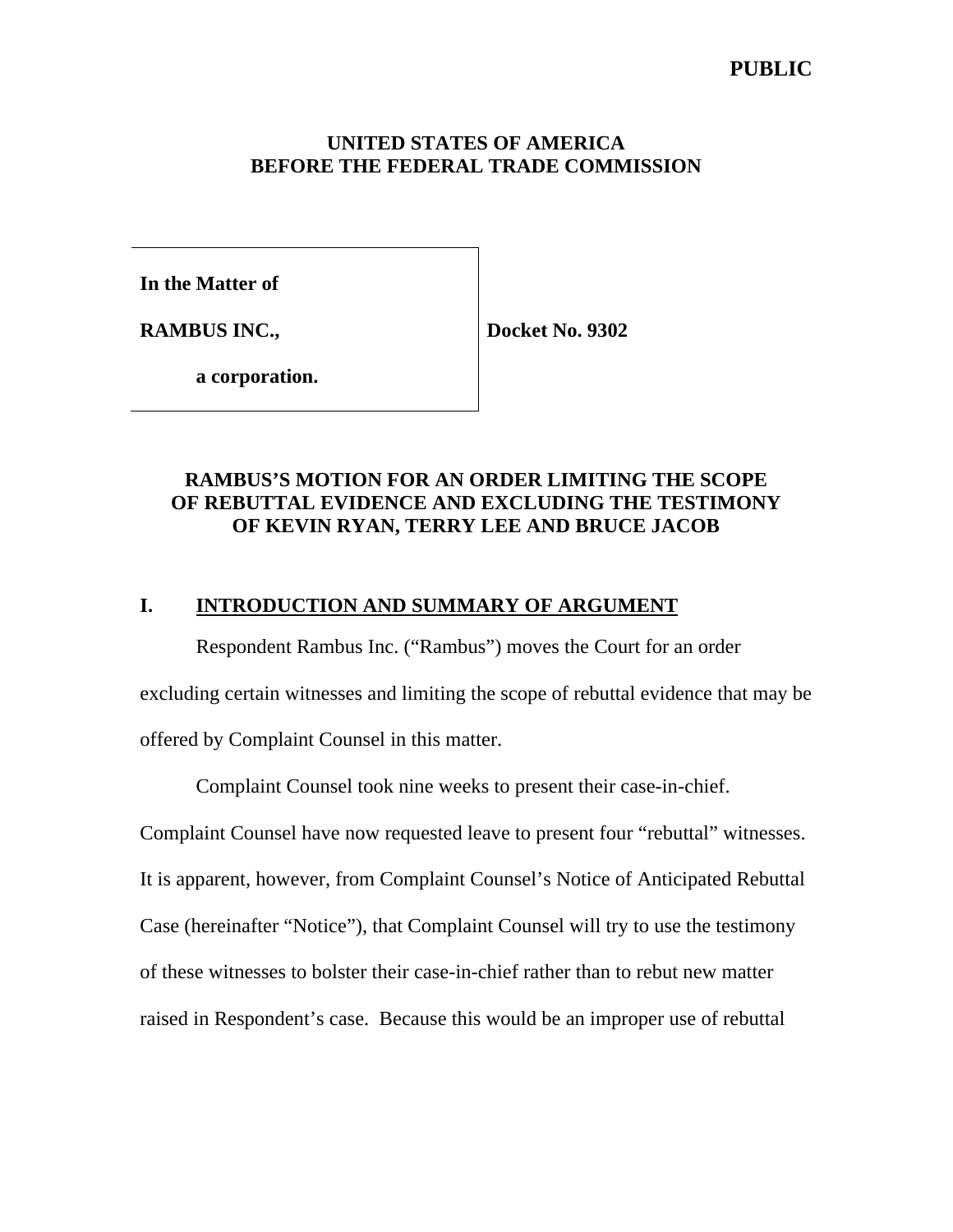# **PUBLIC**

## **UNITED STATES OF AMERICA BEFORE THE FEDERAL TRADE COMMISSION**

**In the Matter of**

**RAMBUS INC.,**

**Docket No. 9302**

**a corporation.**

# **RAMBUS'S MOTION FOR AN ORDER LIMITING THE SCOPE OF REBUTTAL EVIDENCE AND EXCLUDING THE TESTIMONY OF KEVIN RYAN, TERRY LEE AND BRUCE JACOB**

## **I. INTRODUCTION AND SUMMARY OF ARGUMENT**

Respondent Rambus Inc. ("Rambus") moves the Court for an order excluding certain witnesses and limiting the scope of rebuttal evidence that may be offered by Complaint Counsel in this matter.

Complaint Counsel took nine weeks to present their case-in-chief.

Complaint Counsel have now requested leave to present four "rebuttal" witnesses.

It is apparent, however, from Complaint Counsel's Notice of Anticipated Rebuttal

Case (hereinafter "Notice"), that Complaint Counsel will try to use the testimony

of these witnesses to bolster their case-in-chief rather than to rebut new matter

raised in Respondent's case. Because this would be an improper use of rebuttal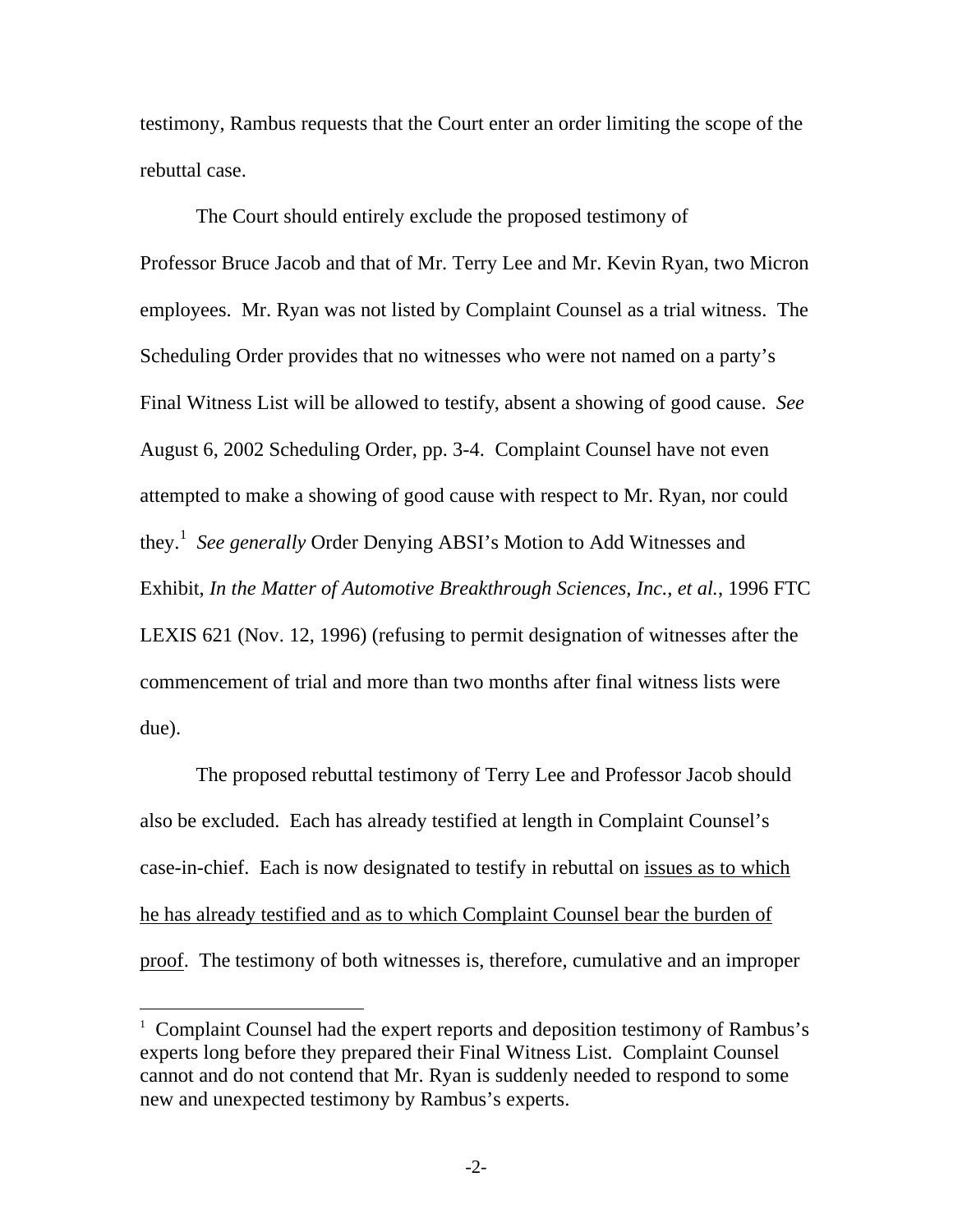testimony, Rambus requests that the Court enter an order limiting the scope of the rebuttal case.

The Court should entirely exclude the proposed testimony of Professor Bruce Jacob and that of Mr. Terry Lee and Mr. Kevin Ryan, two Micron employees. Mr. Ryan was not listed by Complaint Counsel as a trial witness. The Scheduling Order provides that no witnesses who were not named on a party's Final Witness List will be allowed to testify, absent a showing of good cause. *See* August 6, 2002 Scheduling Order, pp. 3-4. Complaint Counsel have not even attempted to make a showing of good cause with respect to Mr. Ryan, nor could they.<sup>1</sup>  *See generally* Order Denying ABSI's Motion to Add Witnesses and Exhibit, *In the Matter of Automotive Breakthrough Sciences, Inc., et al.*, 1996 FTC LEXIS 621 (Nov. 12, 1996) (refusing to permit designation of witnesses after the commencement of trial and more than two months after final witness lists were due).

The proposed rebuttal testimony of Terry Lee and Professor Jacob should also be excluded. Each has already testified at length in Complaint Counsel's case-in-chief. Each is now designated to testify in rebuttal on issues as to which he has already testified and as to which Complaint Counsel bear the burden of proof. The testimony of both witnesses is, therefore, cumulative and an improper

 $\overline{a}$ 

<sup>&</sup>lt;sup>1</sup> Complaint Counsel had the expert reports and deposition testimony of Rambus's experts long before they prepared their Final Witness List. Complaint Counsel cannot and do not contend that Mr. Ryan is suddenly needed to respond to some new and unexpected testimony by Rambus's experts.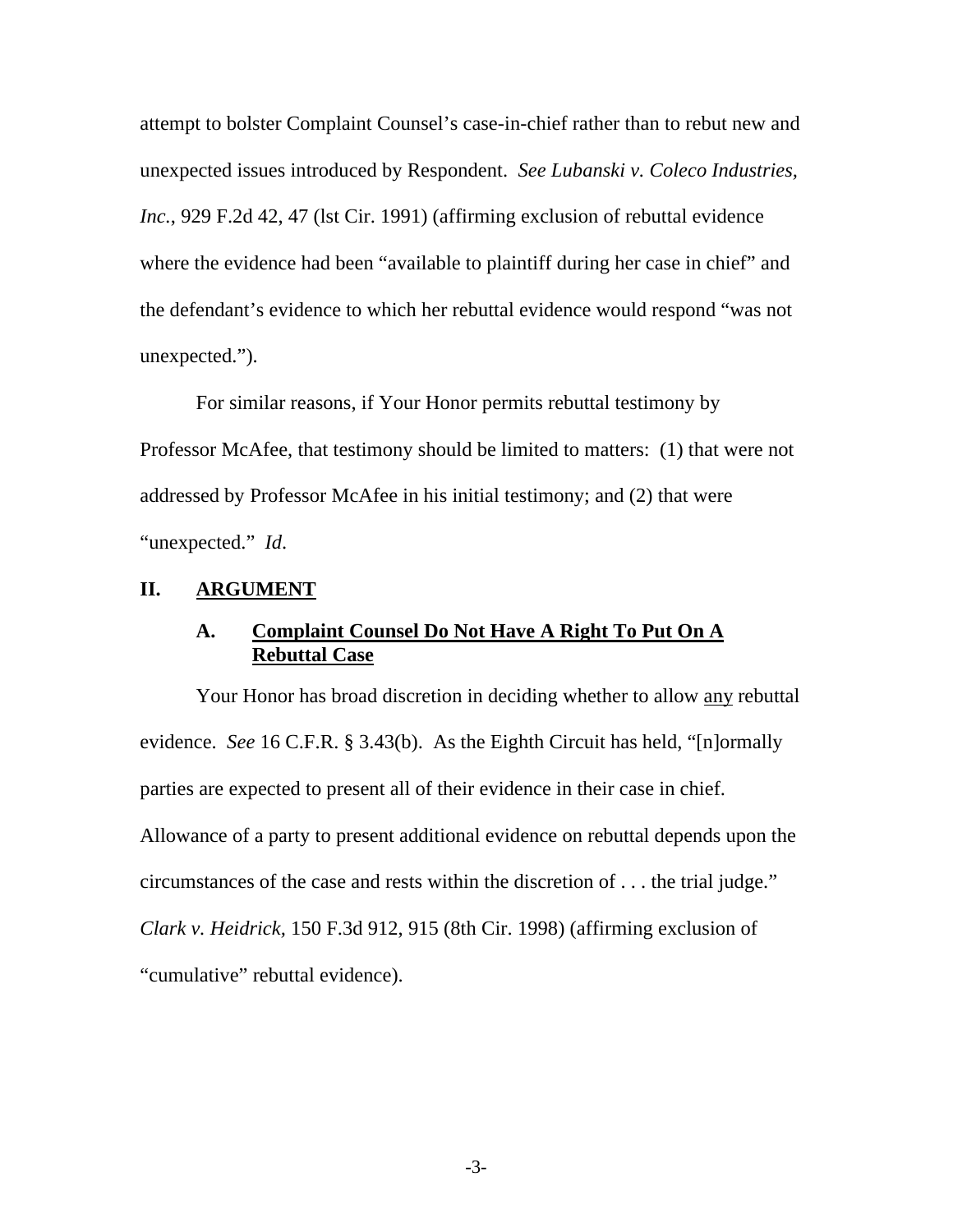attempt to bolster Complaint Counsel's case-in-chief rather than to rebut new and unexpected issues introduced by Respondent. *See Lubanski v. Coleco Industries, Inc.*, 929 F.2d 42, 47 (lst Cir. 1991) (affirming exclusion of rebuttal evidence where the evidence had been "available to plaintiff during her case in chief" and the defendant's evidence to which her rebuttal evidence would respond "was not unexpected.").

For similar reasons, if Your Honor permits rebuttal testimony by Professor McAfee, that testimony should be limited to matters: (1) that were not addressed by Professor McAfee in his initial testimony; and (2) that were "unexpected." *Id*.

### **II. ARGUMENT**

## **A. Complaint Counsel Do Not Have A Right To Put On A Rebuttal Case**

Your Honor has broad discretion in deciding whether to allow any rebuttal evidence. *See* 16 C.F.R. § 3.43(b). As the Eighth Circuit has held, "[n]ormally parties are expected to present all of their evidence in their case in chief. Allowance of a party to present additional evidence on rebuttal depends upon the circumstances of the case and rests within the discretion of . . . the trial judge." *Clark v. Heidrick,* 150 F.3d 912, 915 (8th Cir. 1998) (affirming exclusion of "cumulative" rebuttal evidence).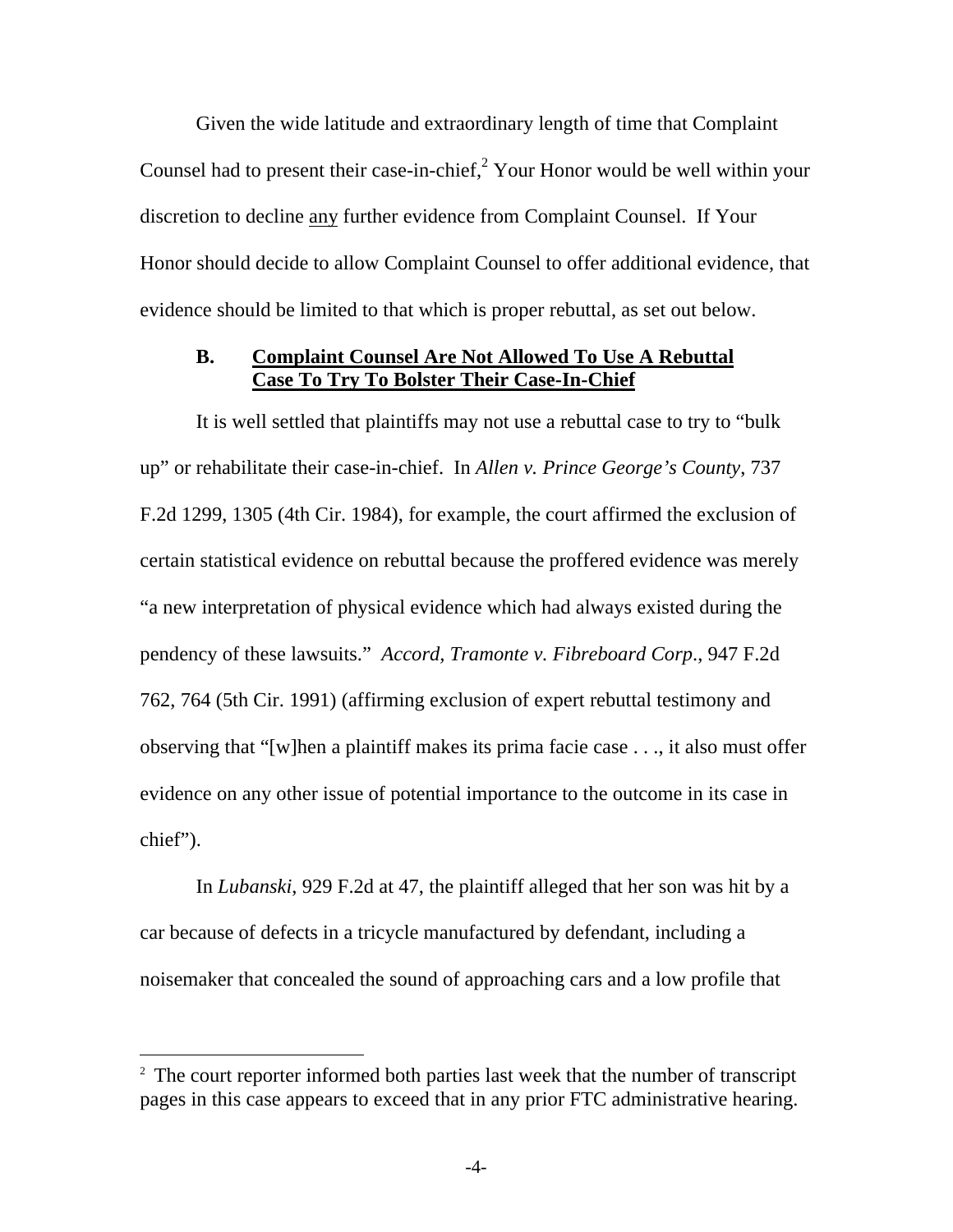Given the wide latitude and extraordinary length of time that Complaint Counsel had to present their case-in-chief, $2 \text{ Your Honor}$  would be well within your discretion to decline any further evidence from Complaint Counsel. If Your Honor should decide to allow Complaint Counsel to offer additional evidence, that evidence should be limited to that which is proper rebuttal, as set out below.

### **B. Complaint Counsel Are Not Allowed To Use A Rebuttal Case To Try To Bolster Their Case-In-Chief**

It is well settled that plaintiffs may not use a rebuttal case to try to "bulk up" or rehabilitate their case-in-chief. In *Allen v. Prince George's County*, 737 F.2d 1299, 1305 (4th Cir. 1984), for example, the court affirmed the exclusion of certain statistical evidence on rebuttal because the proffered evidence was merely "a new interpretation of physical evidence which had always existed during the pendency of these lawsuits." *Accord, Tramonte v. Fibreboard Corp*., 947 F.2d 762, 764 (5th Cir. 1991) (affirming exclusion of expert rebuttal testimony and observing that "[w]hen a plaintiff makes its prima facie case . . ., it also must offer evidence on any other issue of potential importance to the outcome in its case in chief").

In *Lubanski*, 929 F.2d at 47, the plaintiff alleged that her son was hit by a car because of defects in a tricycle manufactured by defendant, including a noisemaker that concealed the sound of approaching cars and a low profile that

 $\overline{a}$ 

<sup>&</sup>lt;sup>2</sup> The court reporter informed both parties last week that the number of transcript pages in this case appears to exceed that in any prior FTC administrative hearing.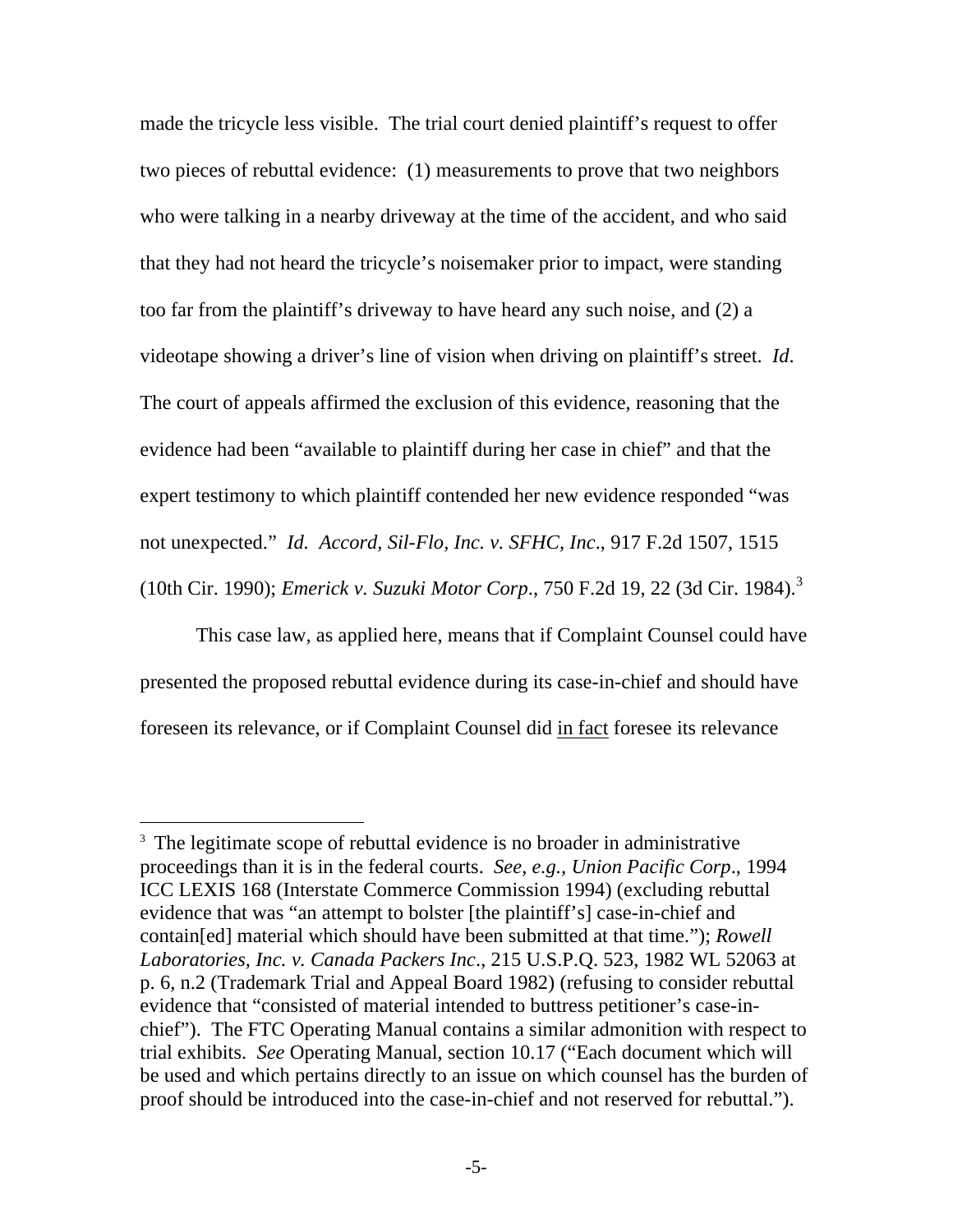made the tricycle less visible. The trial court denied plaintiff's request to offer two pieces of rebuttal evidence: (1) measurements to prove that two neighbors who were talking in a nearby driveway at the time of the accident, and who said that they had not heard the tricycle's noisemaker prior to impact, were standing too far from the plaintiff's driveway to have heard any such noise, and (2) a videotape showing a driver's line of vision when driving on plaintiff's street. *Id*. The court of appeals affirmed the exclusion of this evidence, reasoning that the evidence had been "available to plaintiff during her case in chief" and that the expert testimony to which plaintiff contended her new evidence responded "was not unexpected." *Id. Accord, Sil-Flo, Inc. v. SFHC, Inc*., 917 F.2d 1507, 1515 (10th Cir. 1990); *Emerick v. Suzuki Motor Corp*., 750 F.2d 19, 22 (3d Cir. 1984).<sup>3</sup>

This case law, as applied here, means that if Complaint Counsel could have presented the proposed rebuttal evidence during its case-in-chief and should have foreseen its relevance, or if Complaint Counsel did in fact foresee its relevance

 $\overline{a}$ 

<sup>&</sup>lt;sup>3</sup> The legitimate scope of rebuttal evidence is no broader in administrative proceedings than it is in the federal courts. *See, e.g., Union Pacific Corp*., 1994 ICC LEXIS 168 (Interstate Commerce Commission 1994) (excluding rebuttal evidence that was "an attempt to bolster [the plaintiff's] case-in-chief and contain[ed] material which should have been submitted at that time."); *Rowell Laboratories, Inc. v. Canada Packers Inc*., 215 U.S.P.Q. 523, 1982 WL 52063 at p. 6, n.2 (Trademark Trial and Appeal Board 1982) (refusing to consider rebuttal evidence that "consisted of material intended to buttress petitioner's case-inchief"). The FTC Operating Manual contains a similar admonition with respect to trial exhibits. *See* Operating Manual, section 10.17 ("Each document which will be used and which pertains directly to an issue on which counsel has the burden of proof should be introduced into the case-in-chief and not reserved for rebuttal.").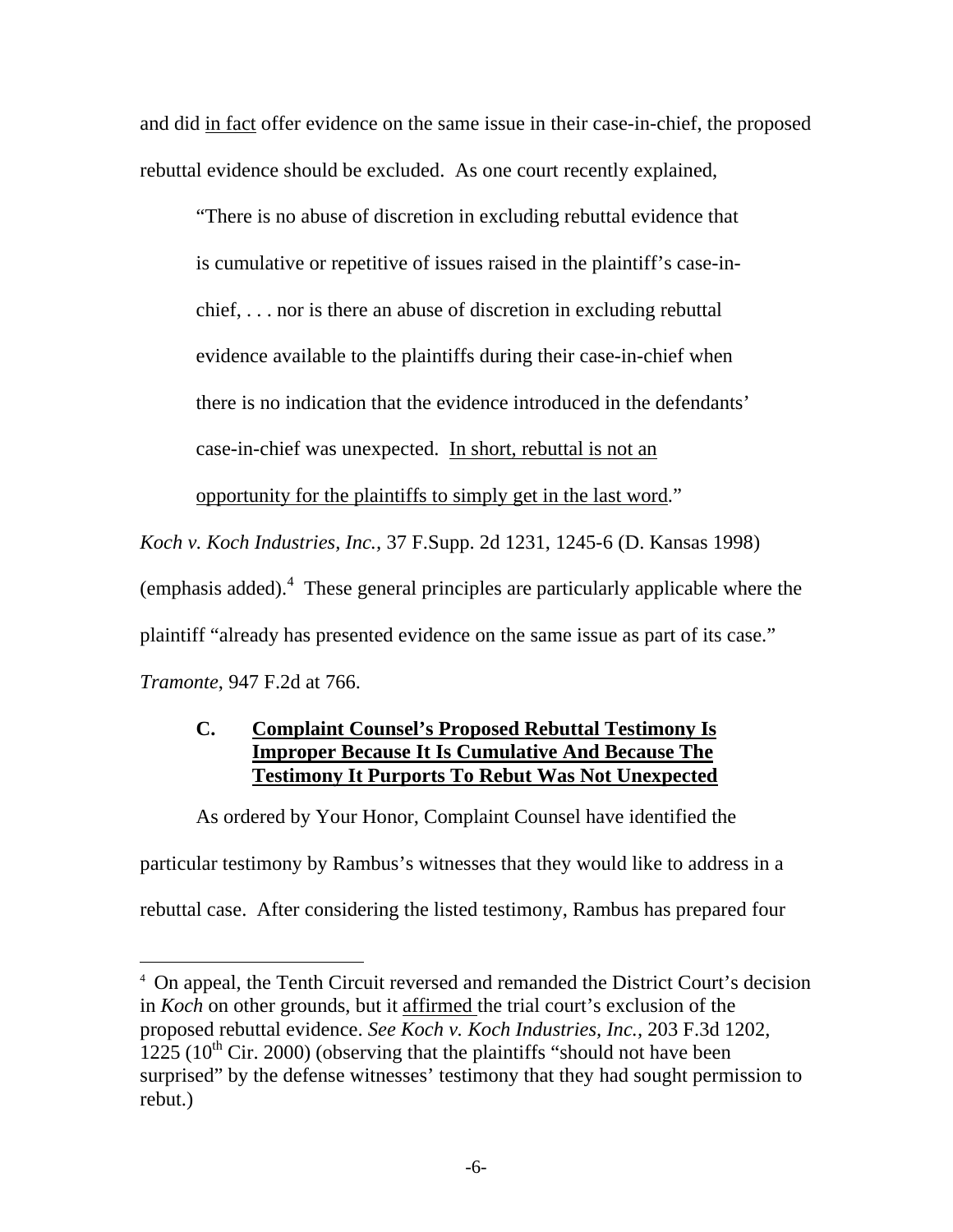and did in fact offer evidence on the same issue in their case-in-chief, the proposed rebuttal evidence should be excluded. As one court recently explained,

"There is no abuse of discretion in excluding rebuttal evidence that is cumulative or repetitive of issues raised in the plaintiff's case-inchief, . . . nor is there an abuse of discretion in excluding rebuttal evidence available to the plaintiffs during their case-in-chief when there is no indication that the evidence introduced in the defendants'

case-in-chief was unexpected. In short, rebuttal is not an

opportunity for the plaintiffs to simply get in the last word."

*Koch v. Koch Industries, Inc.,* 37 F.Supp. 2d 1231, 1245-6 (D. Kansas 1998)

(emphasis added). $4$  These general principles are particularly applicable where the

plaintiff "already has presented evidence on the same issue as part of its case."

*Tramonte*, 947 F.2d at 766.

 $\overline{a}$ 

# **C. Complaint Counsel's Proposed Rebuttal Testimony Is Improper Because It Is Cumulative And Because The Testimony It Purports To Rebut Was Not Unexpected**

As ordered by Your Honor, Complaint Counsel have identified the

particular testimony by Rambus's witnesses that they would like to address in a

rebuttal case. After considering the listed testimony, Rambus has prepared four

<sup>4</sup> On appeal, the Tenth Circuit reversed and remanded the District Court's decision in *Koch* on other grounds, but it affirmed the trial court's exclusion of the proposed rebuttal evidence. *See Koch v. Koch Industries, Inc.,* 203 F.3d 1202, 1225 ( $10^{th}$  Cir. 2000) (observing that the plaintiffs "should not have been surprised" by the defense witnesses' testimony that they had sought permission to rebut.)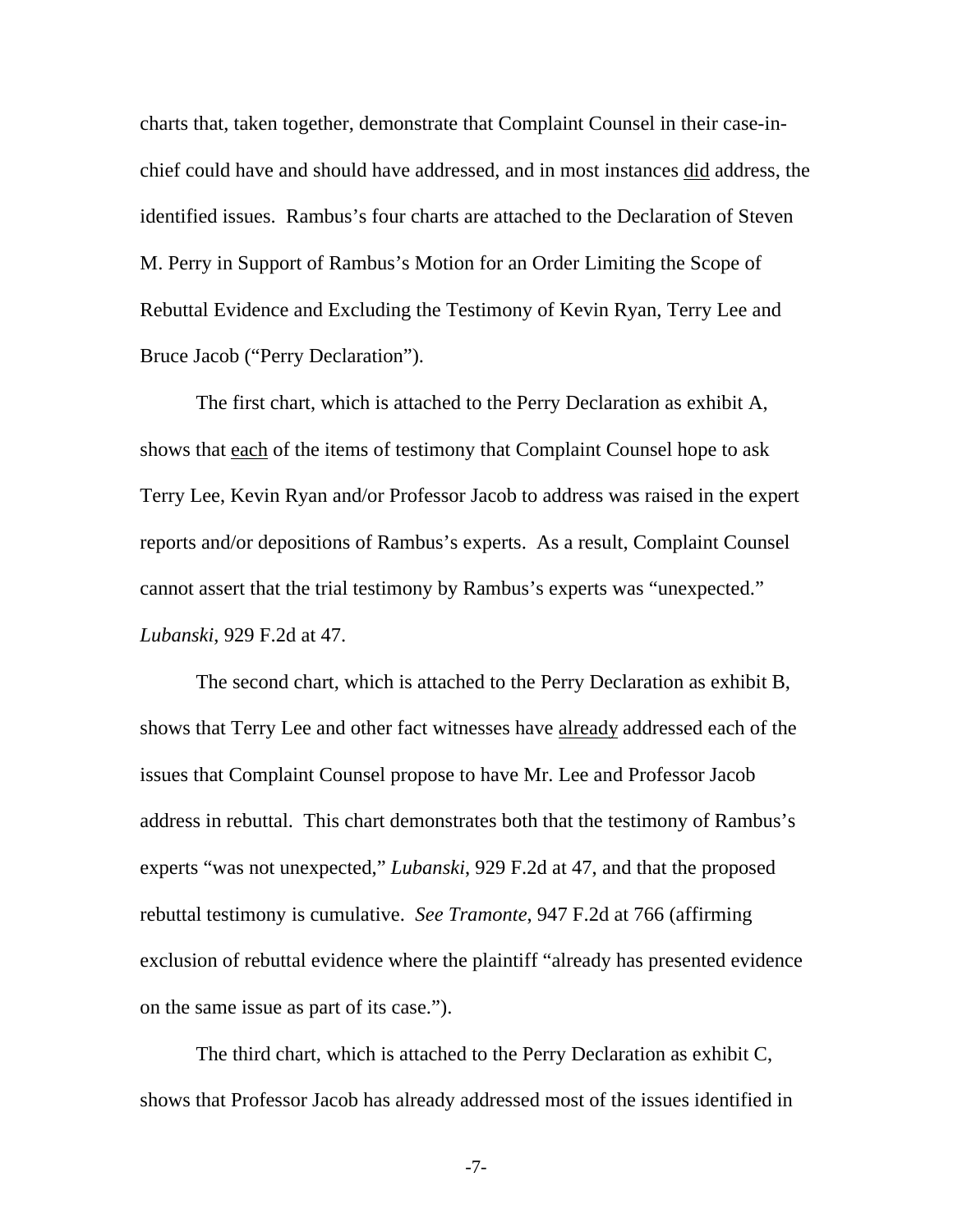charts that, taken together, demonstrate that Complaint Counsel in their case-inchief could have and should have addressed, and in most instances did address, the identified issues. Rambus's four charts are attached to the Declaration of Steven M. Perry in Support of Rambus's Motion for an Order Limiting the Scope of Rebuttal Evidence and Excluding the Testimony of Kevin Ryan, Terry Lee and Bruce Jacob ("Perry Declaration").

The first chart, which is attached to the Perry Declaration as exhibit A, shows that each of the items of testimony that Complaint Counsel hope to ask Terry Lee, Kevin Ryan and/or Professor Jacob to address was raised in the expert reports and/or depositions of Rambus's experts. As a result, Complaint Counsel cannot assert that the trial testimony by Rambus's experts was "unexpected." *Lubanski*, 929 F.2d at 47.

The second chart, which is attached to the Perry Declaration as exhibit B, shows that Terry Lee and other fact witnesses have already addressed each of the issues that Complaint Counsel propose to have Mr. Lee and Professor Jacob address in rebuttal. This chart demonstrates both that the testimony of Rambus's experts "was not unexpected," *Lubanski*, 929 F.2d at 47, and that the proposed rebuttal testimony is cumulative. *See Tramonte*, 947 F.2d at 766 (affirming exclusion of rebuttal evidence where the plaintiff "already has presented evidence on the same issue as part of its case.").

The third chart, which is attached to the Perry Declaration as exhibit C, shows that Professor Jacob has already addressed most of the issues identified in

-7-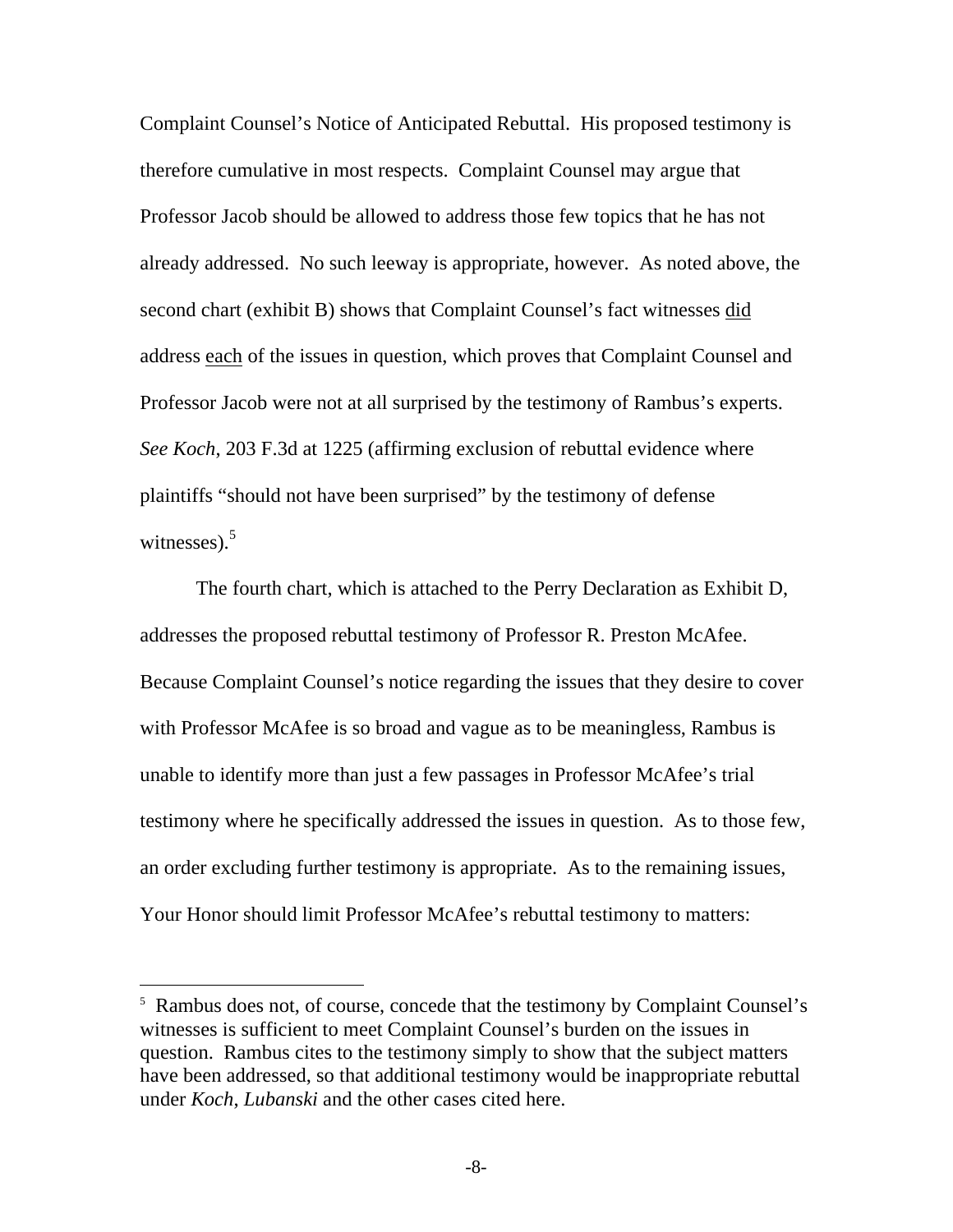Complaint Counsel's Notice of Anticipated Rebuttal. His proposed testimony is therefore cumulative in most respects. Complaint Counsel may argue that Professor Jacob should be allowed to address those few topics that he has not already addressed. No such leeway is appropriate, however. As noted above, the second chart (exhibit B) shows that Complaint Counsel's fact witnesses did address each of the issues in question, which proves that Complaint Counsel and Professor Jacob were not at all surprised by the testimony of Rambus's experts. *See Koch*, 203 F.3d at 1225 (affirming exclusion of rebuttal evidence where plaintiffs "should not have been surprised" by the testimony of defense witnesses). $5$ 

The fourth chart, which is attached to the Perry Declaration as Exhibit D, addresses the proposed rebuttal testimony of Professor R. Preston McAfee. Because Complaint Counsel's notice regarding the issues that they desire to cover with Professor McAfee is so broad and vague as to be meaningless, Rambus is unable to identify more than just a few passages in Professor McAfee's trial testimony where he specifically addressed the issues in question. As to those few, an order excluding further testimony is appropriate. As to the remaining issues, Your Honor should limit Professor McAfee's rebuttal testimony to matters:

1

<sup>&</sup>lt;sup>5</sup> Rambus does not, of course, concede that the testimony by Complaint Counsel's witnesses is sufficient to meet Complaint Counsel's burden on the issues in question. Rambus cites to the testimony simply to show that the subject matters have been addressed, so that additional testimony would be inappropriate rebuttal under *Koch*, *Lubanski* and the other cases cited here.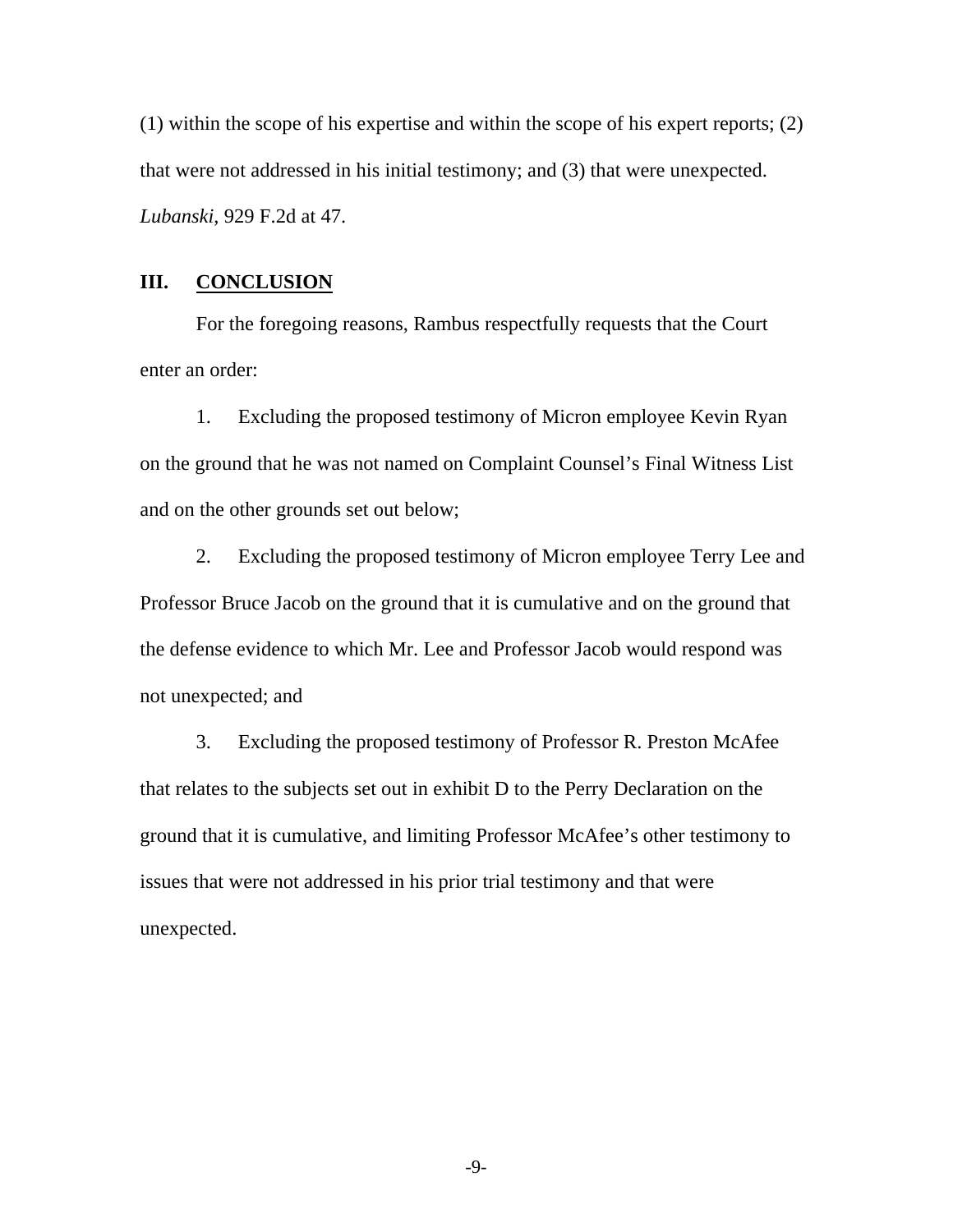(1) within the scope of his expertise and within the scope of his expert reports; (2) that were not addressed in his initial testimony; and (3) that were unexpected. *Lubanski*, 929 F.2d at 47.

### **III. CONCLUSION**

For the foregoing reasons, Rambus respectfully requests that the Court enter an order:

1. Excluding the proposed testimony of Micron employee Kevin Ryan on the ground that he was not named on Complaint Counsel's Final Witness List and on the other grounds set out below;

2. Excluding the proposed testimony of Micron employee Terry Lee and Professor Bruce Jacob on the ground that it is cumulative and on the ground that the defense evidence to which Mr. Lee and Professor Jacob would respond was not unexpected; and

3. Excluding the proposed testimony of Professor R. Preston McAfee that relates to the subjects set out in exhibit D to the Perry Declaration on the ground that it is cumulative, and limiting Professor McAfee's other testimony to issues that were not addressed in his prior trial testimony and that were unexpected.

-9-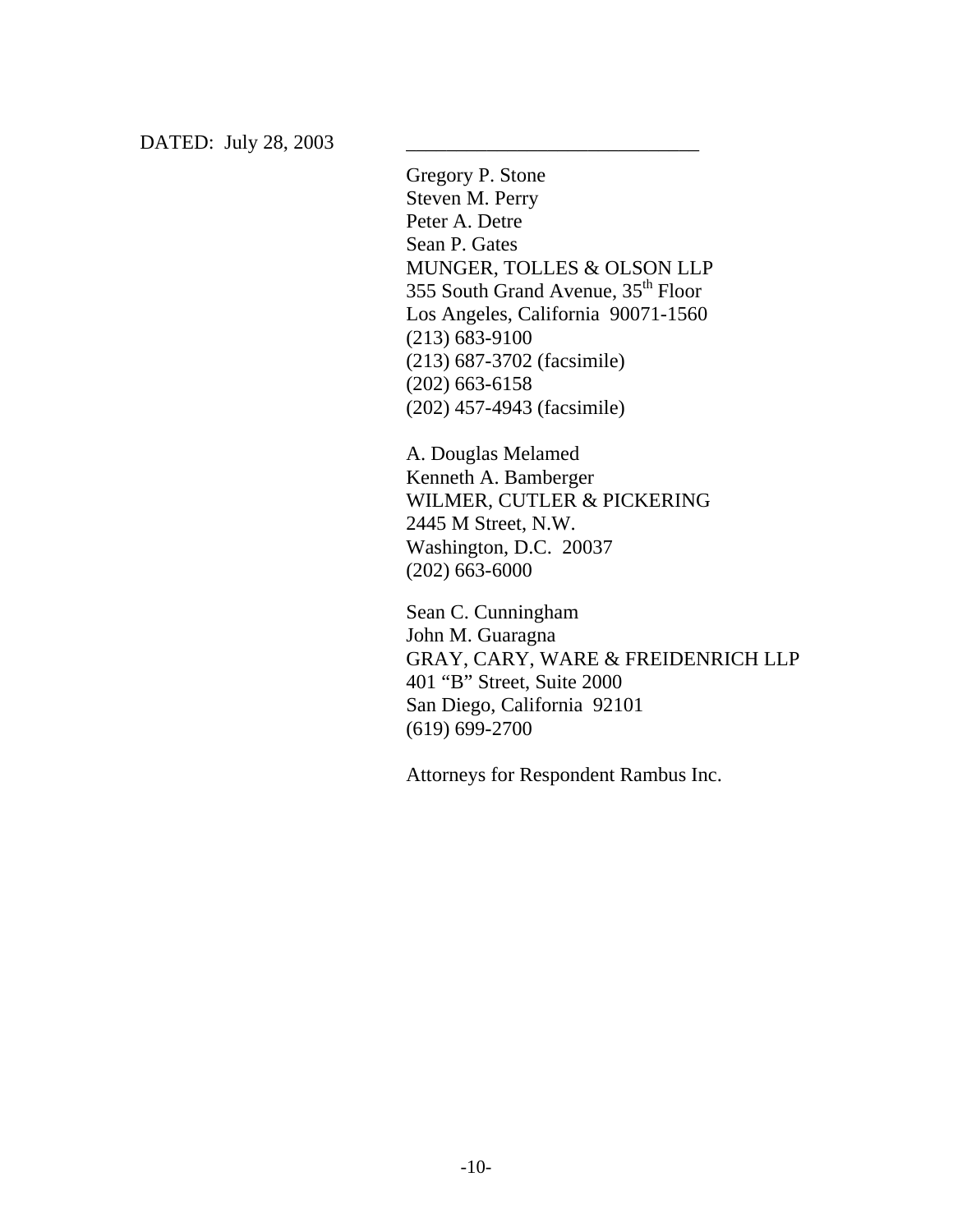Gregory P. Stone Steven M. Perry Peter A. Detre Sean P. Gates MUNGER, TOLLES & OLSON LLP 355 South Grand Avenue, 35<sup>th</sup> Floor Los Angeles, California 90071-1560 (213) 683-9100 (213) 687-3702 (facsimile) (202) 663-6158 (202) 457-4943 (facsimile)

A. Douglas Melamed Kenneth A. Bamberger WILMER, CUTLER & PICKERING 2445 M Street, N.W. Washington, D.C. 20037 (202) 663-6000

Sean C. Cunningham John M. Guaragna GRAY, CARY, WARE & FREIDENRICH LLP 401 "B" Street, Suite 2000 San Diego, California 92101 (619) 699-2700

Attorneys for Respondent Rambus Inc.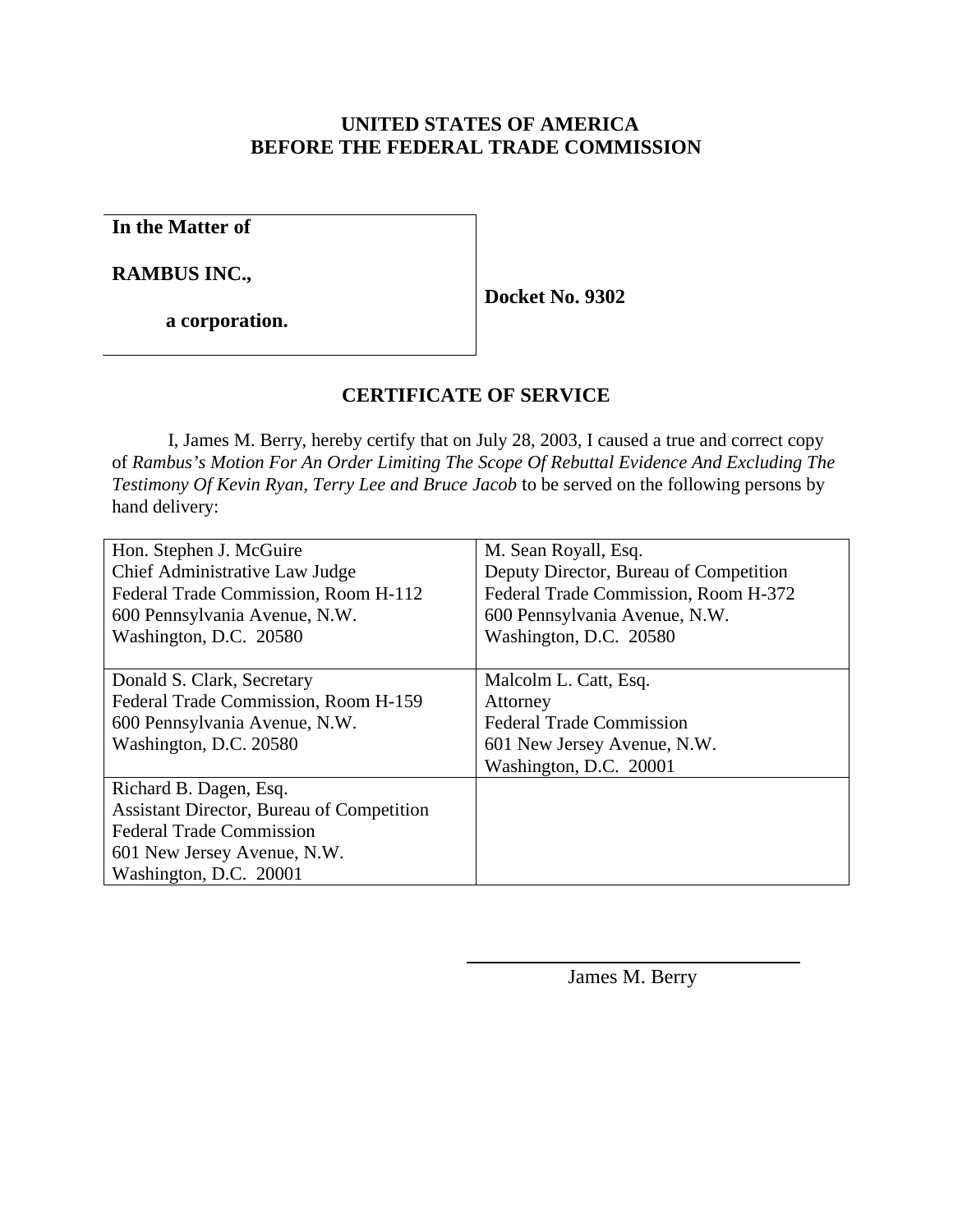# **UNITED STATES OF AMERICA BEFORE THE FEDERAL TRADE COMMISSION**

**In the Matter of**

**RAMBUS INC.,**

**a corporation.**

**Docket No. 9302**

# **CERTIFICATE OF SERVICE**

I, James M. Berry, hereby certify that on July 28, 2003, I caused a true and correct copy of *Rambus's Motion For An Order Limiting The Scope Of Rebuttal Evidence And Excluding The Testimony Of Kevin Ryan, Terry Lee and Bruce Jacob* to be served on the following persons by hand delivery:

| Hon. Stephen J. McGuire                   | M. Sean Royall, Esq.                   |
|-------------------------------------------|----------------------------------------|
| Chief Administrative Law Judge            | Deputy Director, Bureau of Competition |
| Federal Trade Commission, Room H-112      | Federal Trade Commission, Room H-372   |
| 600 Pennsylvania Avenue, N.W.             | 600 Pennsylvania Avenue, N.W.          |
| Washington, D.C. 20580                    | Washington, D.C. 20580                 |
|                                           |                                        |
| Donald S. Clark, Secretary                | Malcolm L. Catt, Esq.                  |
| Federal Trade Commission, Room H-159      | Attorney                               |
| 600 Pennsylvania Avenue, N.W.             | <b>Federal Trade Commission</b>        |
| Washington, D.C. 20580                    | 601 New Jersey Avenue, N.W.            |
|                                           | Washington, D.C. 20001                 |
| Richard B. Dagen, Esq.                    |                                        |
| Assistant Director, Bureau of Competition |                                        |
| <b>Federal Trade Commission</b>           |                                        |
| 601 New Jersey Avenue, N.W.               |                                        |
| Washington, D.C. 20001                    |                                        |

l

James M. Berry